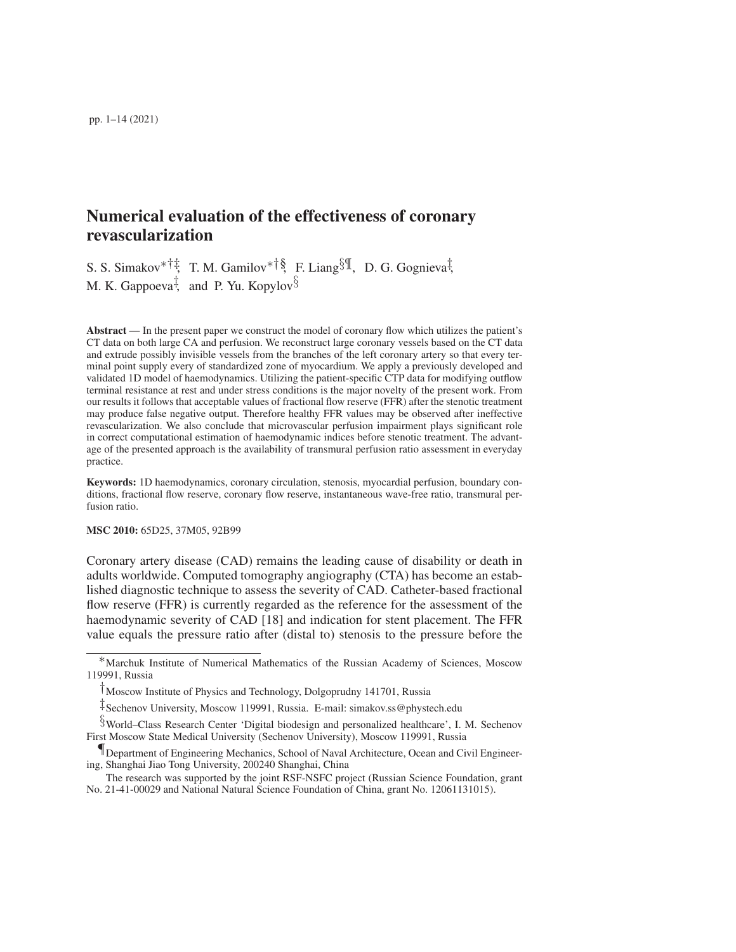# Numerical evaluation of the effectiveness of coronary revascularization

S. S. Simakov<sup>∗†‡</sup>, T. M. Gamilov<sup>∗†§</sup>, F. Liang<sup>§¶</sup>, D. G. Gognieva<sup>‡</sup>, M. K. Gappoeva<sup>‡</sup>, and P. Yu. Kopylov $\S$ 

Abstract — In the present paper we construct the model of coronary flow which utilizes the patient's CT data on both large CA and perfusion. We reconstruct large coronary vessels based on the CT data and extrude possibly invisible vessels from the branches of the left coronary artery so that every terminal point supply every of standardized zone of myocardium. We apply a previously developed and validated 1D model of haemodynamics. Utilizing the patient-specific CTP data for modifying outflow terminal resistance at rest and under stress conditions is the major novelty of the present work. From our results it follows that acceptable values of fractional flow reserve (FFR) after the stenotic treatment may produce false negative output. Therefore healthy FFR values may be observed after ineffective revascularization. We also conclude that microvascular perfusion impairment plays significant role in correct computational estimation of haemodynamic indices before stenotic treatment. The advantage of the presented approach is the availability of transmural perfusion ratio assessment in everyday practice.

Keywords: 1D haemodynamics, coronary circulation, stenosis, myocardial perfusion, boundary conditions, fractional flow reserve, coronary flow reserve, instantaneous wave-free ratio, transmural perfusion ratio.

# MSC 2010: 65D25, 37M05, 92B99

Coronary artery disease (CAD) remains the leading cause of disability or death in adults worldwide. Computed tomography angiography (CTA) has become an established diagnostic technique to assess the severity of CAD. Catheter-based fractional flow reserve (FFR) is currently regarded as the reference for the assessment of the haemodynamic severity of CAD [18] and indication for stent placement. The FFR value equals the pressure ratio after (distal to) stenosis to the pressure before the

§World–Class Research Center 'Digital biodesign and personalized healthcare', I. M. Sechenov First Moscow State Medical University (Sechenov University), Moscow 119991, Russia

<sup>∗</sup>Marchuk Institute of Numerical Mathematics of the Russian Academy of Sciences, Moscow 119991, Russia

<sup>†</sup>Moscow Institute of Physics and Technology, Dolgoprudny 141701, Russia

<sup>‡</sup>Sechenov University, Moscow 119991, Russia. E-mail: simakov.ss@phystech.edu

<sup>¶</sup>Department of Engineering Mechanics, School of Naval Architecture, Ocean and Civil Engineering, Shanghai Jiao Tong University, 200240 Shanghai, China

The research was supported by the joint RSF-NSFC project (Russian Science Foundation, grant No. 21-41-00029 and National Natural Science Foundation of China, grant No. 12061131015).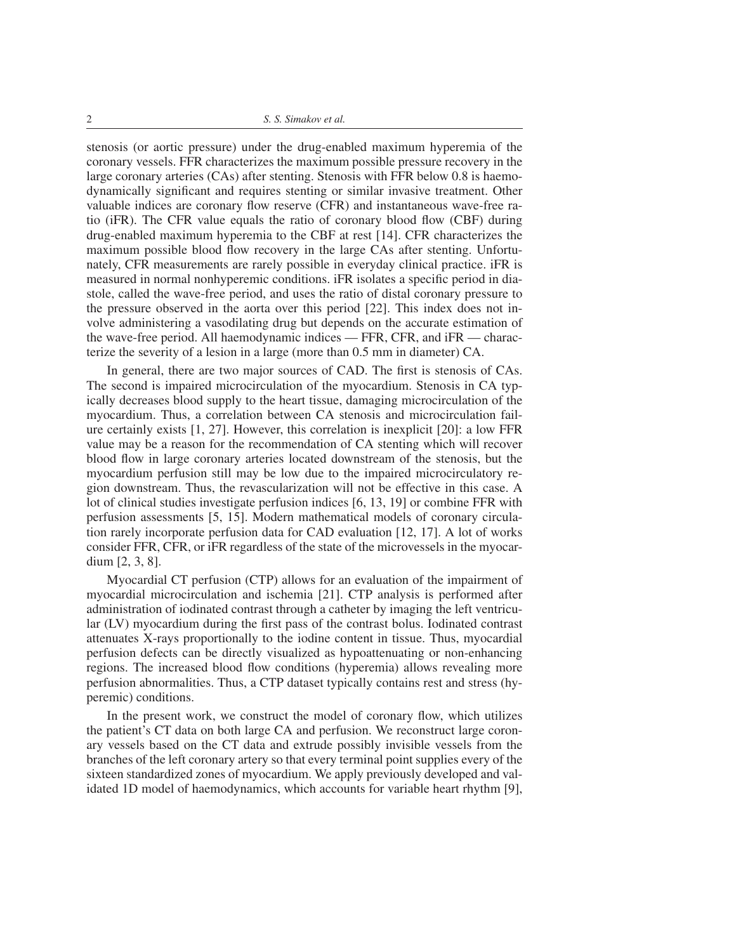2 *S. S. Simakov et al.*

stenosis (or aortic pressure) under the drug-enabled maximum hyperemia of the coronary vessels. FFR characterizes the maximum possible pressure recovery in the large coronary arteries (CAs) after stenting. Stenosis with FFR below 0.8 is haemodynamically significant and requires stenting or similar invasive treatment. Other valuable indices are coronary flow reserve (CFR) and instantaneous wave-free ratio (iFR). The CFR value equals the ratio of coronary blood flow (CBF) during drug-enabled maximum hyperemia to the CBF at rest [14]. CFR characterizes the maximum possible blood flow recovery in the large CAs after stenting. Unfortunately, CFR measurements are rarely possible in everyday clinical practice. iFR is measured in normal nonhyperemic conditions. iFR isolates a specific period in diastole, called the wave-free period, and uses the ratio of distal coronary pressure to the pressure observed in the aorta over this period [22]. This index does not involve administering a vasodilating drug but depends on the accurate estimation of the wave-free period. All haemodynamic indices — FFR, CFR, and iFR — characterize the severity of a lesion in a large (more than 0.5 mm in diameter) CA.

In general, there are two major sources of CAD. The first is stenosis of CAs. The second is impaired microcirculation of the myocardium. Stenosis in CA typically decreases blood supply to the heart tissue, damaging microcirculation of the myocardium. Thus, a correlation between CA stenosis and microcirculation failure certainly exists [1, 27]. However, this correlation is inexplicit [20]: a low FFR value may be a reason for the recommendation of CA stenting which will recover blood flow in large coronary arteries located downstream of the stenosis, but the myocardium perfusion still may be low due to the impaired microcirculatory region downstream. Thus, the revascularization will not be effective in this case. A lot of clinical studies investigate perfusion indices [6, 13, 19] or combine FFR with perfusion assessments [5, 15]. Modern mathematical models of coronary circulation rarely incorporate perfusion data for CAD evaluation [12, 17]. A lot of works consider FFR, CFR, or iFR regardless of the state of the microvessels in the myocardium [2, 3, 8].

Myocardial CT perfusion (CTP) allows for an evaluation of the impairment of myocardial microcirculation and ischemia [21]. CTP analysis is performed after administration of iodinated contrast through a catheter by imaging the left ventricular (LV) myocardium during the first pass of the contrast bolus. Iodinated contrast attenuates X-rays proportionally to the iodine content in tissue. Thus, myocardial perfusion defects can be directly visualized as hypoattenuating or non-enhancing regions. The increased blood flow conditions (hyperemia) allows revealing more perfusion abnormalities. Thus, a CTP dataset typically contains rest and stress (hyperemic) conditions.

In the present work, we construct the model of coronary flow, which utilizes the patient's CT data on both large CA and perfusion. We reconstruct large coronary vessels based on the CT data and extrude possibly invisible vessels from the branches of the left coronary artery so that every terminal point supplies every of the sixteen standardized zones of myocardium. We apply previously developed and validated 1D model of haemodynamics, which accounts for variable heart rhythm [9],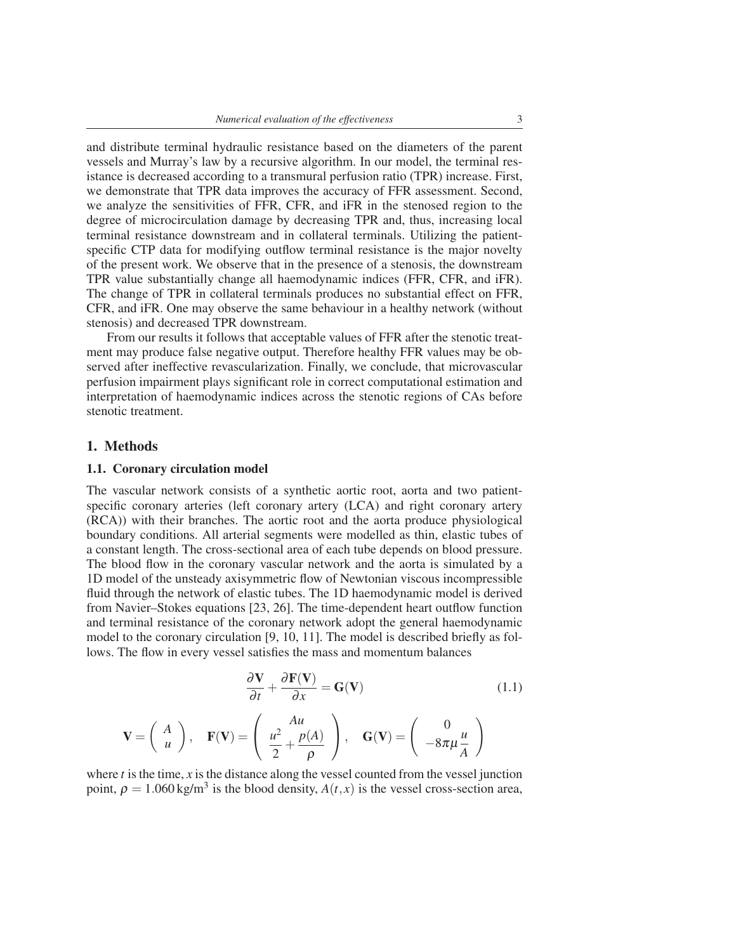and distribute terminal hydraulic resistance based on the diameters of the parent vessels and Murray's law by a recursive algorithm. In our model, the terminal resistance is decreased according to a transmural perfusion ratio (TPR) increase. First, we demonstrate that TPR data improves the accuracy of FFR assessment. Second, we analyze the sensitivities of FFR, CFR, and iFR in the stenosed region to the degree of microcirculation damage by decreasing TPR and, thus, increasing local terminal resistance downstream and in collateral terminals. Utilizing the patientspecific CTP data for modifying outflow terminal resistance is the major novelty of the present work. We observe that in the presence of a stenosis, the downstream TPR value substantially change all haemodynamic indices (FFR, CFR, and iFR). The change of TPR in collateral terminals produces no substantial effect on FFR, CFR, and iFR. One may observe the same behaviour in a healthy network (without stenosis) and decreased TPR downstream.

From our results it follows that acceptable values of FFR after the stenotic treatment may produce false negative output. Therefore healthy FFR values may be observed after ineffective revascularization. Finally, we conclude, that microvascular perfusion impairment plays significant role in correct computational estimation and interpretation of haemodynamic indices across the stenotic regions of CAs before stenotic treatment.

## 1. Methods

### 1.1. Coronary circulation model

The vascular network consists of a synthetic aortic root, aorta and two patientspecific coronary arteries (left coronary artery (LCA) and right coronary artery (RCA)) with their branches. The aortic root and the aorta produce physiological boundary conditions. All arterial segments were modelled as thin, elastic tubes of a constant length. The cross-sectional area of each tube depends on blood pressure. The blood flow in the coronary vascular network and the aorta is simulated by a 1D model of the unsteady axisymmetric flow of Newtonian viscous incompressible fluid through the network of elastic tubes. The 1D haemodynamic model is derived from Navier–Stokes equations [23, 26]. The time-dependent heart outflow function and terminal resistance of the coronary network adopt the general haemodynamic model to the coronary circulation [9, 10, 11]. The model is described briefly as follows. The flow in every vessel satisfies the mass and momentum balances

$$
\frac{\partial \mathbf{V}}{\partial t} + \frac{\partial \mathbf{F}(\mathbf{V})}{\partial x} = \mathbf{G}(\mathbf{V})
$$
 (1.1)

$$
\mathbf{V} = \begin{pmatrix} A \\ u \end{pmatrix}, \quad \mathbf{F}(\mathbf{V}) = \begin{pmatrix} Au \\ \frac{u^2}{2} + \frac{p(A)}{\rho} \end{pmatrix}, \quad \mathbf{G}(\mathbf{V}) = \begin{pmatrix} 0 \\ -8\pi\mu\frac{u}{A} \end{pmatrix}
$$

where  $t$  is the time,  $x$  is the distance along the vessel counted from the vessel junction point,  $\rho = 1.060 \text{ kg/m}^3$  is the blood density,  $A(t, x)$  is the vessel cross-section area,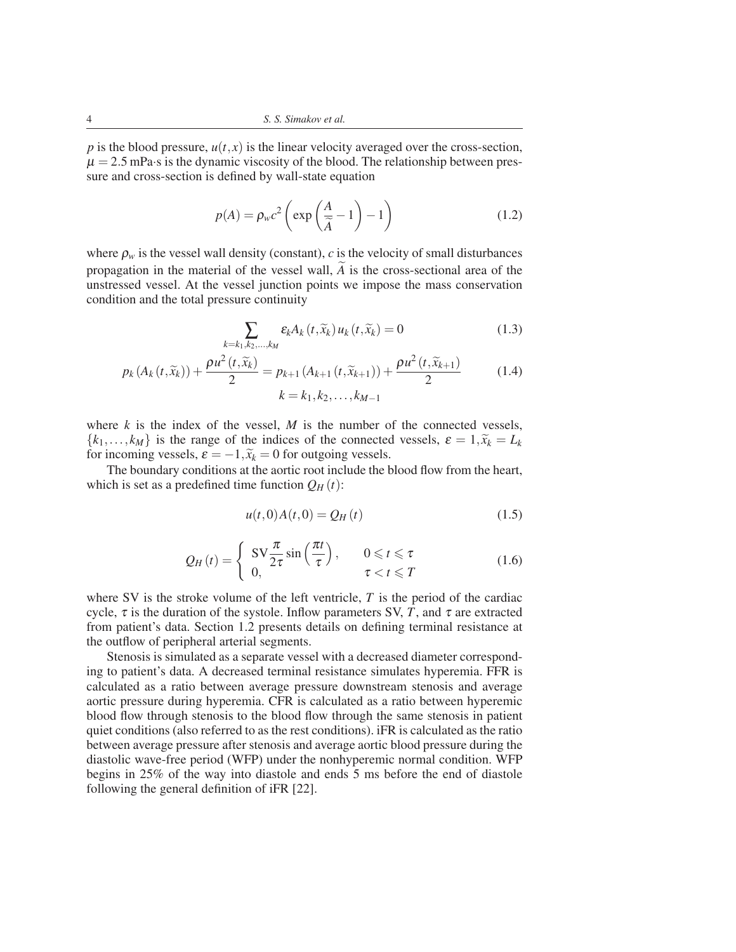*p* is the blood pressure,  $u(t, x)$  is the linear velocity averaged over the cross-section,  $\mu = 2.5$  mPa·s is the dynamic viscosity of the blood. The relationship between pressure and cross-section is defined by wall-state equation

$$
p(A) = \rho_w c^2 \left( \exp\left(\frac{A}{\tilde{A}} - 1\right) - 1 \right)
$$
 (1.2)

where  $\rho_w$  is the vessel wall density (constant), *c* is the velocity of small disturbances propagation in the material of the vessel wall, *A* is the cross-sectional area of the unstressed vessel. At the vessel junction points we impose the mass conservation condition and the total pressure continuity

$$
\sum_{k=k_1,k_2,\dots,k_M} \varepsilon_k A_k(t,\widetilde{x}_k) u_k(t,\widetilde{x}_k) = 0
$$
\n(1.3)

$$
p_k(A_k(t,\widetilde{x}_k)) + \frac{\rho u^2(t,\widetilde{x}_k)}{2} = p_{k+1}(A_{k+1}(t,\widetilde{x}_{k+1})) + \frac{\rho u^2(t,\widetilde{x}_{k+1})}{2}
$$
(1.4)

$$
k=k_1,k_2,\ldots,k_{M-1}
$$

where  $k$  is the index of the vessel,  $M$  is the number of the connected vessels,  $\{k_1, \ldots, k_M\}$  is the range of the indices of the connected vessels,  $\varepsilon = 1, \tilde{x}_k = L_k$ for incoming vessels,  $\varepsilon = -1$ ,  $\tilde{x}_k = 0$  for outgoing vessels.

The boundary conditions at the aortic root include the blood flow from the heart, which is set as a predefined time function  $Q_H(t)$ :

$$
u(t,0)A(t,0) = Q_H(t)
$$
\n(1.5)

$$
Q_H(t) = \begin{cases} \text{SV}\frac{\pi}{2\tau}\sin\left(\frac{\pi t}{\tau}\right), & 0 \leq t \leq \tau \\ 0, & \tau < t \leq T \end{cases}
$$
(1.6)

where SV is the stroke volume of the left ventricle, *T* is the period of the cardiac cycle,  $\tau$  is the duration of the systole. Inflow parameters SV, *T*, and  $\tau$  are extracted from patient's data. Section 1.2 presents details on defining terminal resistance at the outflow of peripheral arterial segments.

Stenosis is simulated as a separate vessel with a decreased diameter corresponding to patient's data. A decreased terminal resistance simulates hyperemia. FFR is calculated as a ratio between average pressure downstream stenosis and average aortic pressure during hyperemia. CFR is calculated as a ratio between hyperemic blood flow through stenosis to the blood flow through the same stenosis in patient quiet conditions (also referred to as the rest conditions). iFR is calculated as the ratio between average pressure after stenosis and average aortic blood pressure during the diastolic wave-free period (WFP) under the nonhyperemic normal condition. WFP begins in 25% of the way into diastole and ends 5 ms before the end of diastole following the general definition of iFR [22].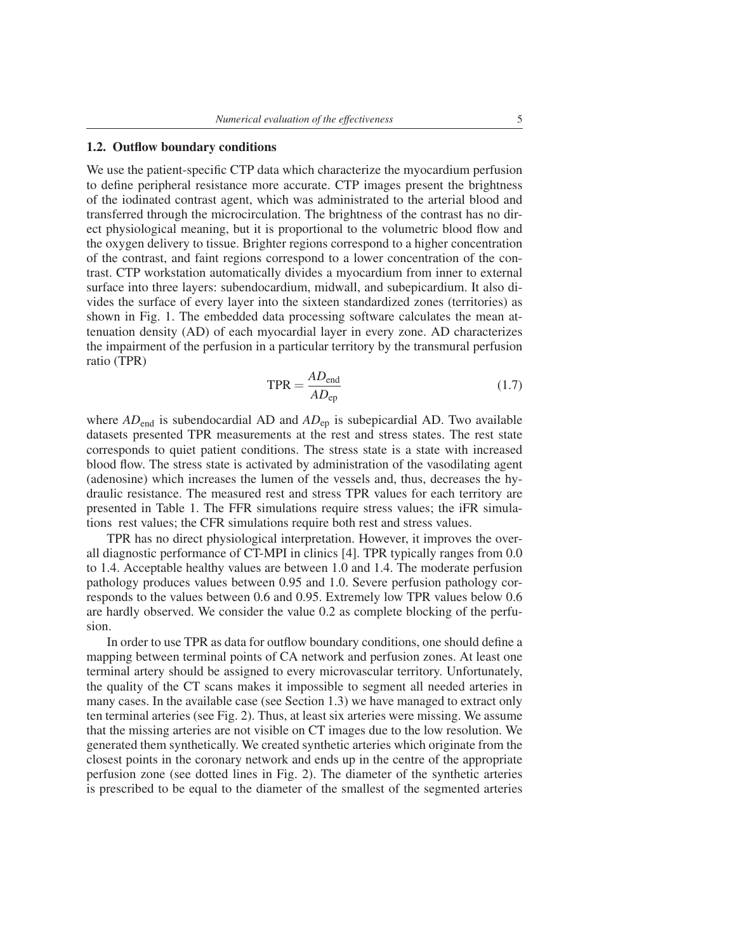# 1.2. Outflow boundary conditions

We use the patient-specific CTP data which characterize the myocardium perfusion to define peripheral resistance more accurate. CTP images present the brightness of the iodinated contrast agent, which was administrated to the arterial blood and transferred through the microcirculation. The brightness of the contrast has no direct physiological meaning, but it is proportional to the volumetric blood flow and the oxygen delivery to tissue. Brighter regions correspond to a higher concentration of the contrast, and faint regions correspond to a lower concentration of the contrast. CTP workstation automatically divides a myocardium from inner to external surface into three layers: subendocardium, midwall, and subepicardium. It also divides the surface of every layer into the sixteen standardized zones (territories) as shown in Fig. 1. The embedded data processing software calculates the mean attenuation density (AD) of each myocardial layer in every zone. AD characterizes the impairment of the perfusion in a particular territory by the transmural perfusion ratio (TPR)

$$
TPR = \frac{AD_{\text{end}}}{AD_{\text{ep}}}
$$
 (1.7)

where *AD*<sub>end</sub> is subendocardial AD and *AD*<sub>ep</sub> is subepicardial AD. Two available datasets presented TPR measurements at the rest and stress states. The rest state corresponds to quiet patient conditions. The stress state is a state with increased blood flow. The stress state is activated by administration of the vasodilating agent (adenosine) which increases the lumen of the vessels and, thus, decreases the hydraulic resistance. The measured rest and stress TPR values for each territory are presented in Table 1. The FFR simulations require stress values; the iFR simulations rest values; the CFR simulations require both rest and stress values.

TPR has no direct physiological interpretation. However, it improves the overall diagnostic performance of CT-MPI in clinics [4]. TPR typically ranges from 0.0 to 1.4. Acceptable healthy values are between 1.0 and 1.4. The moderate perfusion pathology produces values between 0.95 and 1.0. Severe perfusion pathology corresponds to the values between 0.6 and 0.95. Extremely low TPR values below 0.6 are hardly observed. We consider the value 0.2 as complete blocking of the perfusion.

In order to use TPR as data for outflow boundary conditions, one should define a mapping between terminal points of CA network and perfusion zones. At least one terminal artery should be assigned to every microvascular territory. Unfortunately, the quality of the CT scans makes it impossible to segment all needed arteries in many cases. In the available case (see Section 1.3) we have managed to extract only ten terminal arteries (see Fig. 2). Thus, at least six arteries were missing. We assume that the missing arteries are not visible on CT images due to the low resolution. We generated them synthetically. We created synthetic arteries which originate from the closest points in the coronary network and ends up in the centre of the appropriate perfusion zone (see dotted lines in Fig. 2). The diameter of the synthetic arteries is prescribed to be equal to the diameter of the smallest of the segmented arteries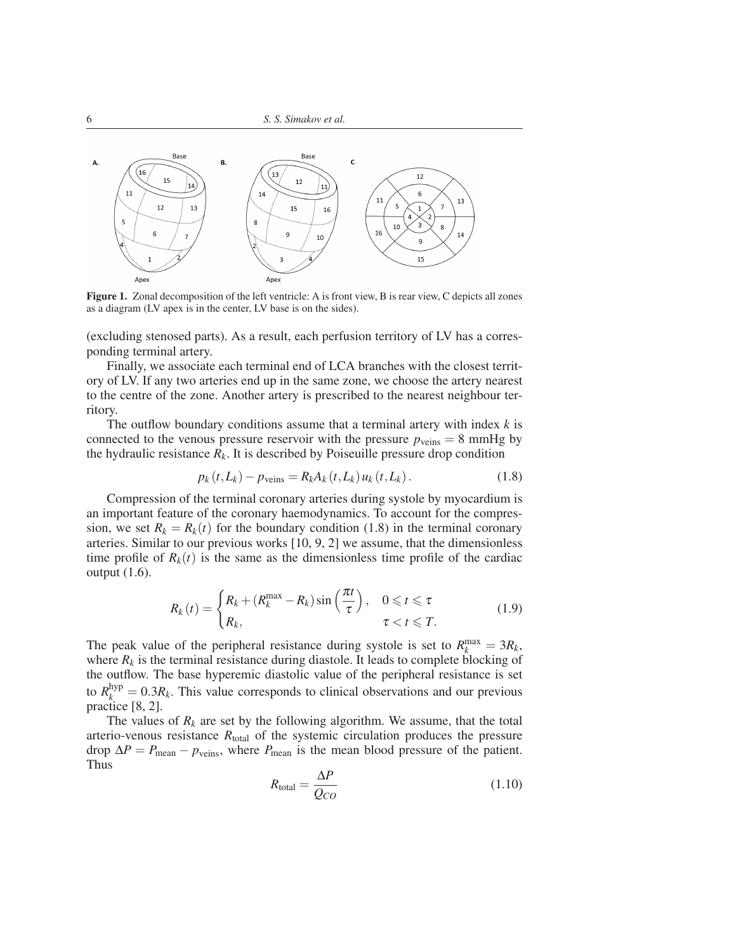

Figure 1. Zonal decomposition of the left ventricle: A is front view, B is rear view, C depicts all zones as a diagram (LV apex is in the center, LV base is on the sides).

(excluding stenosed parts). As a result, each perfusion territory of LV has a corresponding terminal artery.

Finally, we associate each terminal end of LCA branches with the closest territory of LV. If any two arteries end up in the same zone, we choose the artery nearest to the centre of the zone. Another artery is prescribed to the nearest neighbour territory.

The outflow boundary conditions assume that a terminal artery with index *k* is connected to the venous pressure reservoir with the pressure  $p_{\text{veins}} = 8 \text{ mmHg}$  by the hydraulic resistance  $R_k$ . It is described by Poiseuille pressure drop condition

$$
p_k(t, L_k) - p_{\text{veins}} = R_k A_k(t, L_k) u_k(t, L_k).
$$
 (1.8)

Compression of the terminal coronary arteries during systole by myocardium is an important feature of the coronary haemodynamics. To account for the compression, we set  $R_k = R_k(t)$  for the boundary condition (1.8) in the terminal coronary arteries. Similar to our previous works [10, 9, 2] we assume, that the dimensionless time profile of  $R_k(t)$  is the same as the dimensionless time profile of the cardiac output (1.6).

$$
R_k(t) = \begin{cases} R_k + (R_k^{\max} - R_k) \sin\left(\frac{\pi t}{\tau}\right), & 0 \leq t \leq \tau \\ R_k, & \tau < t \leq T. \end{cases}
$$
(1.9)

The peak value of the peripheral resistance during systole is set to  $R_k^{\text{max}} = 3R_k$ , where  $R_k$  is the terminal resistance during diastole. It leads to complete blocking of the outflow. The base hyperemic diastolic value of the peripheral resistance is set to  $R_k^{\text{hyp}} = 0.3R_k$ . This value corresponds to clinical observations and our previous practice [8, 2].

The values of  $R_k$  are set by the following algorithm. We assume, that the total arterio-venous resistance  $R_{\text{total}}$  of the systemic circulation produces the pressure drop  $\Delta P = P_{\text{mean}} - p_{\text{veins}}$ , where  $P_{\text{mean}}$  is the mean blood pressure of the patient. Thus

$$
R_{\text{total}} = \frac{\Delta P}{Q_{CO}}\tag{1.10}
$$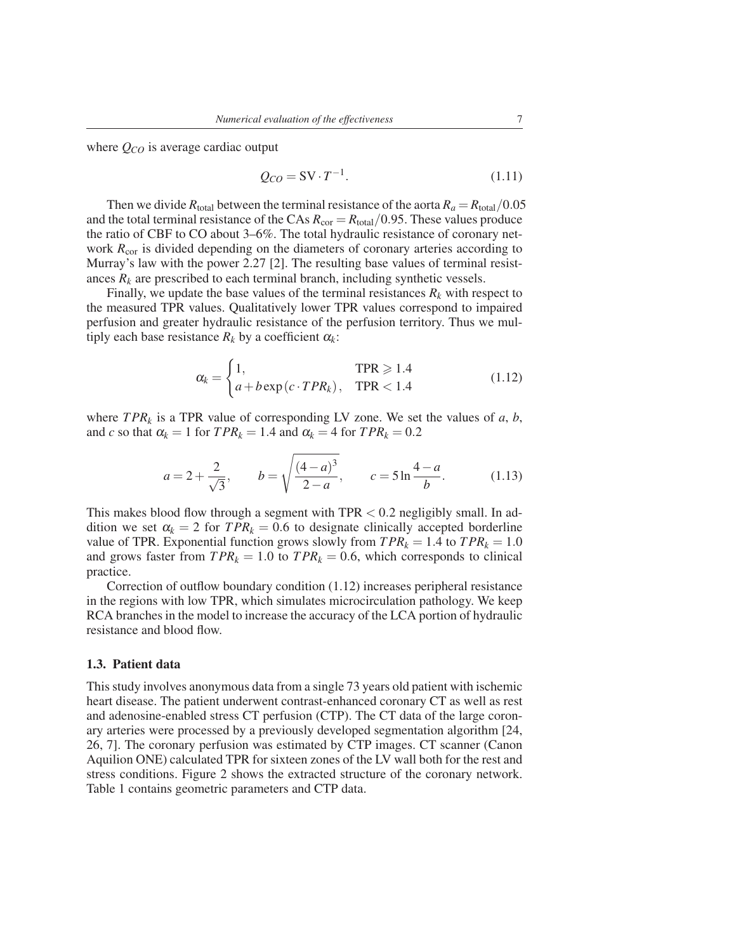where *QCO* is average cardiac output

$$
Q_{CO} = \text{SV} \cdot T^{-1}.\tag{1.11}
$$

Then we divide  $R_{\text{total}}$  between the terminal resistance of the aorta  $R_a = R_{\text{total}}/0.05$ and the total terminal resistance of the CAs  $R_{\text{cor}} = R_{\text{total}}/0.95$ . These values produce the ratio of CBF to CO about 3–6%. The total hydraulic resistance of coronary network  $R_{cor}$  is divided depending on the diameters of coronary arteries according to Murray's law with the power 2.27 [2]. The resulting base values of terminal resistances  $R_k$  are prescribed to each terminal branch, including synthetic vessels.

Finally, we update the base values of the terminal resistances  $R_k$  with respect to the measured TPR values. Qualitatively lower TPR values correspond to impaired perfusion and greater hydraulic resistance of the perfusion territory. Thus we multiply each base resistance  $R_k$  by a coefficient  $\alpha_k$ :

$$
\alpha_k = \begin{cases} 1, & \text{TPR} \geqslant 1.4 \\ a + b \exp(c \cdot TPR_k), & \text{TPR} < 1.4 \end{cases} \tag{1.12}
$$

where  $TPR_k$  is a TPR value of corresponding LV zone. We set the values of *a*, *b*, and *c* so that  $\alpha_k = 1$  for  $TPR_k = 1.4$  and  $\alpha_k = 4$  for  $TPR_k = 0.2$ 

$$
a = 2 + \frac{2}{\sqrt{3}}, \qquad b = \sqrt{\frac{(4-a)^3}{2-a}}, \qquad c = 5 \ln \frac{4-a}{b}.
$$
 (1.13)

This makes blood flow through a segment with  $TPR < 0.2$  negligibly small. In addition we set  $\alpha_k = 2$  for  $TPR_k = 0.6$  to designate clinically accepted borderline value of TPR. Exponential function grows slowly from  $TPR_k = 1.4$  to  $TPR_k = 1.0$ and grows faster from  $TPR_k = 1.0$  to  $TPR_k = 0.6$ , which corresponds to clinical practice.

Correction of outflow boundary condition (1.12) increases peripheral resistance in the regions with low TPR, which simulates microcirculation pathology. We keep RCA branches in the model to increase the accuracy of the LCA portion of hydraulic resistance and blood flow.

#### 1.3. Patient data

This study involves anonymous data from a single 73 years old patient with ischemic heart disease. The patient underwent contrast-enhanced coronary CT as well as rest and adenosine-enabled stress CT perfusion (CTP). The CT data of the large coronary arteries were processed by a previously developed segmentation algorithm [24, 26, 7]. The coronary perfusion was estimated by CTP images. CT scanner (Canon Aquilion ONE) calculated TPR for sixteen zones of the LV wall both for the rest and stress conditions. Figure 2 shows the extracted structure of the coronary network. Table 1 contains geometric parameters and CTP data.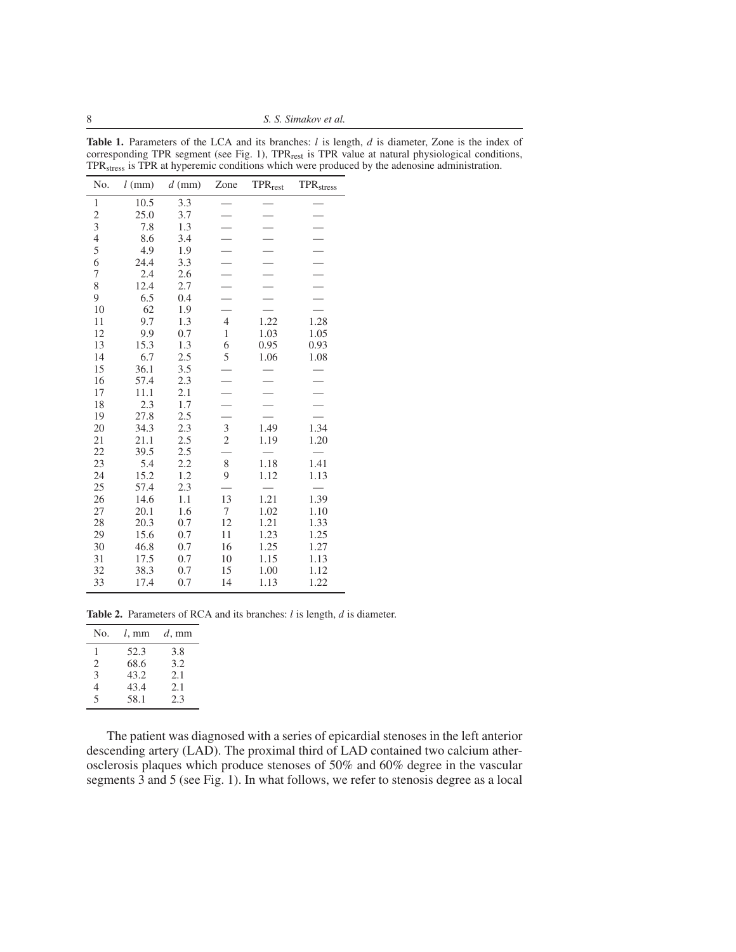8 *S. S. Simakov et al.*

| No.                     | $l$ (mm) | $d$ (mm) | Zone           | <b>TPR</b> rest | <b>TPR</b> <sub>stress</sub> |
|-------------------------|----------|----------|----------------|-----------------|------------------------------|
| $\mathbf{1}$            | 10.5     | 3.3      |                |                 |                              |
| $\overline{\mathbf{c}}$ | 25.0     | 3.7      |                |                 |                              |
| 3                       | 7.8      | 1.3      |                |                 |                              |
| $\overline{4}$          | 8.6      | 3.4      |                |                 |                              |
| 5                       | 4.9      | 1.9      |                |                 |                              |
| 6                       | 24.4     | 3.3      |                |                 |                              |
| 7                       | 2.4      | 2.6      |                |                 |                              |
| 8                       | 12.4     | 2.7      |                |                 |                              |
| 9                       | 6.5      | 0.4      |                |                 |                              |
| 10                      | 62       | 1.9      |                |                 |                              |
| 11                      | 9.7      | 1.3      | $\overline{4}$ | 1.22            | 1.28                         |
| 12                      | 9.9      | 0.7      | $\mathbf{1}$   | 1.03            | 1.05                         |
| 13                      | 15.3     | 1.3      | 6              | 0.95            | 0.93                         |
| 14                      | 6.7      | 2.5      | 5              | 1.06            | 1.08                         |
| 15                      | 36.1     | 3.5      |                |                 |                              |
| 16                      | 57.4     | 2.3      |                |                 |                              |
| 17                      | 11.1     | 2.1      |                |                 |                              |
| 18                      | 2.3      | 1.7      |                |                 |                              |
| 19                      | 27.8     | 2.5      |                |                 |                              |
| 20                      | 34.3     | 2.3      | 3              | 1.49            | 1.34                         |
| 21                      | 21.1     | 2.5      | $\overline{c}$ | 1.19            | 1.20                         |
| 22                      | 39.5     | 2.5      |                |                 |                              |
| 23                      | 5.4      | 2.2      | 8              | 1.18            | 1.41                         |
| 24                      | 15.2     | 1.2      | 9              | 1.12            | 1.13                         |
| 25                      | 57.4     | 2.3      |                |                 |                              |
| 26                      | 14.6     | 1.1      | 13             | 1.21            | 1.39                         |
| 27                      | 20.1     | 1.6      | 7              | 1.02            | 1.10                         |
| 28                      | 20.3     | 0.7      | 12             | 1.21            | 1.33                         |
| 29                      | 15.6     | 0.7      | 11             | 1.23            | 1.25                         |
| 30                      | 46.8     | 0.7      | 16             | 1.25            | 1.27                         |
| 31                      | 17.5     | 0.7      | 10             | 1.15            | 1.13                         |
| 32                      | 38.3     | 0.7      | 15             | 1.00            | 1.12                         |
| 33                      | 17.4     | 0.7      | 14             | 1.13            | 1.22                         |

Table 1. Parameters of the LCA and its branches: *l* is length, *d* is diameter, Zone is the index of corresponding TPR segment (see Fig. 1), TPR<sub>rest</sub> is TPR value at natural physiological conditions, TPRstress is TPR at hyperemic conditions which were produced by the adenosine administration.

Table 2. Parameters of RCA and its branches: *l* is length, *d* is diameter.

| No.                      | $l.$ mm | $d, \text{mm}$ |
|--------------------------|---------|----------------|
| 1                        | 52.3    | 3.8            |
| 2                        | 68.6    | 3.2            |
| 3                        | 43.2    | 2.1            |
| 4                        | 43.4    | 2.1            |
| $\overline{\phantom{0}}$ | 58.1    | 2.3            |

The patient was diagnosed with a series of epicardial stenoses in the left anterior descending artery (LAD). The proximal third of LAD contained two calcium atherosclerosis plaques which produce stenoses of 50% and 60% degree in the vascular segments 3 and 5 (see Fig. 1). In what follows, we refer to stenosis degree as a local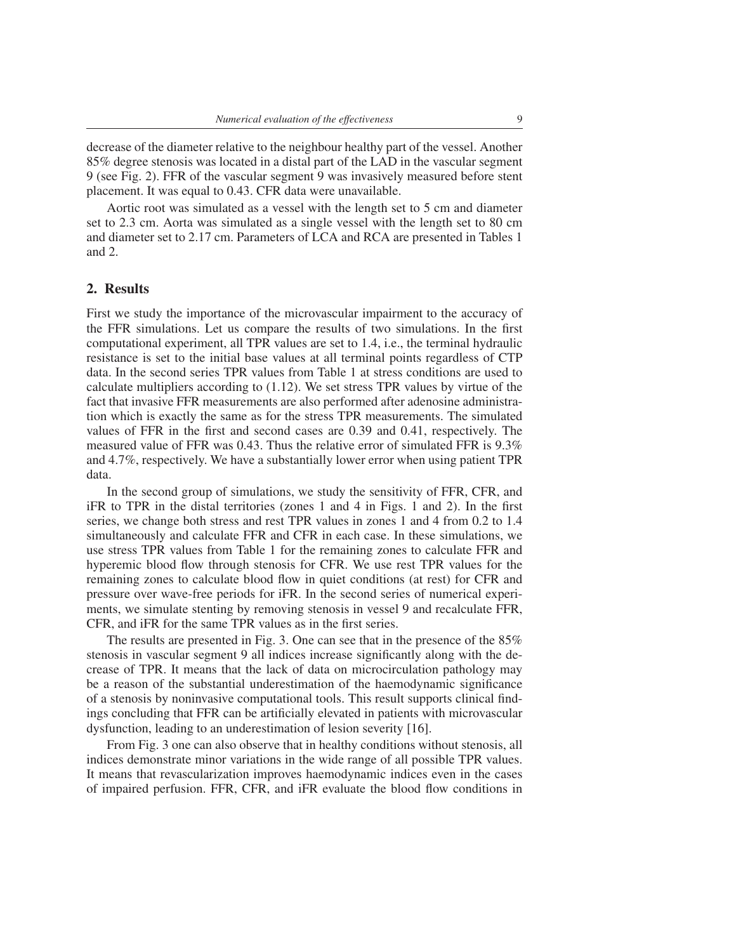decrease of the diameter relative to the neighbour healthy part of the vessel. Another 85% degree stenosis was located in a distal part of the LAD in the vascular segment 9 (see Fig. 2). FFR of the vascular segment 9 was invasively measured before stent placement. It was equal to 0.43. CFR data were unavailable.

Aortic root was simulated as a vessel with the length set to 5 cm and diameter set to 2.3 cm. Aorta was simulated as a single vessel with the length set to 80 cm and diameter set to 2.17 cm. Parameters of LCA and RCA are presented in Tables 1 and 2.

# 2. Results

First we study the importance of the microvascular impairment to the accuracy of the FFR simulations. Let us compare the results of two simulations. In the first computational experiment, all TPR values are set to 1.4, i.e., the terminal hydraulic resistance is set to the initial base values at all terminal points regardless of CTP data. In the second series TPR values from Table 1 at stress conditions are used to calculate multipliers according to (1.12). We set stress TPR values by virtue of the fact that invasive FFR measurements are also performed after adenosine administration which is exactly the same as for the stress TPR measurements. The simulated values of FFR in the first and second cases are 0.39 and 0.41, respectively. The measured value of FFR was 0.43. Thus the relative error of simulated FFR is 9.3% and 4.7%, respectively. We have a substantially lower error when using patient TPR data.

In the second group of simulations, we study the sensitivity of FFR, CFR, and iFR to TPR in the distal territories (zones 1 and 4 in Figs. 1 and 2). In the first series, we change both stress and rest TPR values in zones 1 and 4 from 0.2 to 1.4 simultaneously and calculate FFR and CFR in each case. In these simulations, we use stress TPR values from Table 1 for the remaining zones to calculate FFR and hyperemic blood flow through stenosis for CFR. We use rest TPR values for the remaining zones to calculate blood flow in quiet conditions (at rest) for CFR and pressure over wave-free periods for iFR. In the second series of numerical experiments, we simulate stenting by removing stenosis in vessel 9 and recalculate FFR, CFR, and iFR for the same TPR values as in the first series.

The results are presented in Fig. 3. One can see that in the presence of the 85% stenosis in vascular segment 9 all indices increase significantly along with the decrease of TPR. It means that the lack of data on microcirculation pathology may be a reason of the substantial underestimation of the haemodynamic significance of a stenosis by noninvasive computational tools. This result supports clinical findings concluding that FFR can be artificially elevated in patients with microvascular dysfunction, leading to an underestimation of lesion severity [16].

From Fig. 3 one can also observe that in healthy conditions without stenosis, all indices demonstrate minor variations in the wide range of all possible TPR values. It means that revascularization improves haemodynamic indices even in the cases of impaired perfusion. FFR, CFR, and iFR evaluate the blood flow conditions in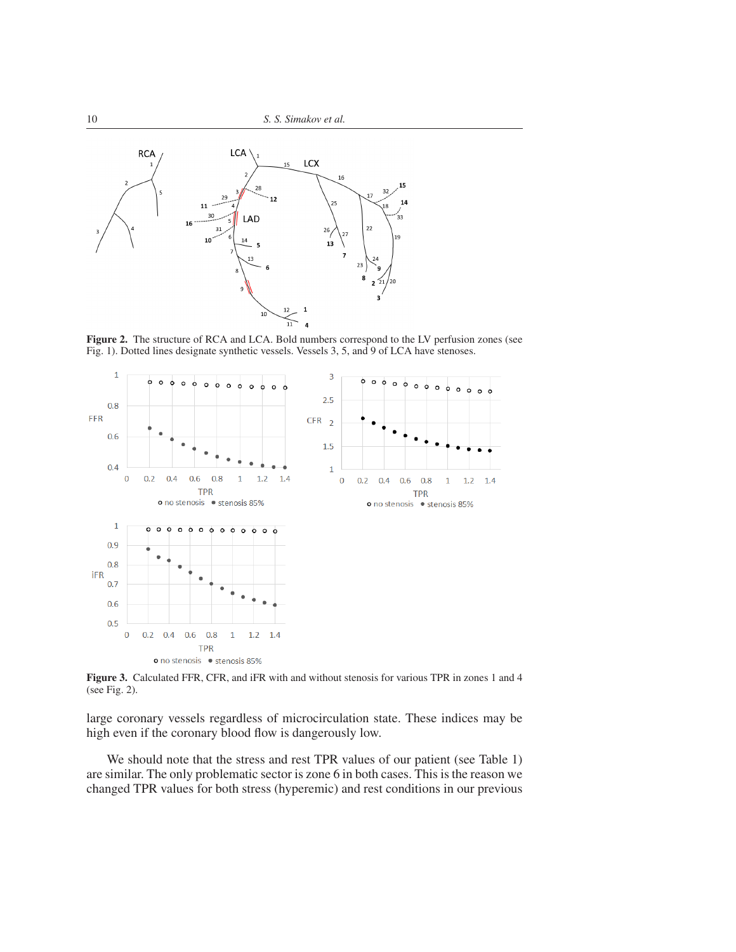

Figure 2. The structure of RCA and LCA. Bold numbers correspond to the LV perfusion zones (see Fig. 1). Dotted lines designate synthetic vessels. Vessels 3, 5, and 9 of LCA have stenoses.



Figure 3. Calculated FFR, CFR, and iFR with and without stenosis for various TPR in zones 1 and 4 (see Fig. 2).

large coronary vessels regardless of microcirculation state. These indices may be high even if the coronary blood flow is dangerously low.

We should note that the stress and rest TPR values of our patient (see Table 1) are similar. The only problematic sector is zone 6 in both cases. This is the reason we changed TPR values for both stress (hyperemic) and rest conditions in our previous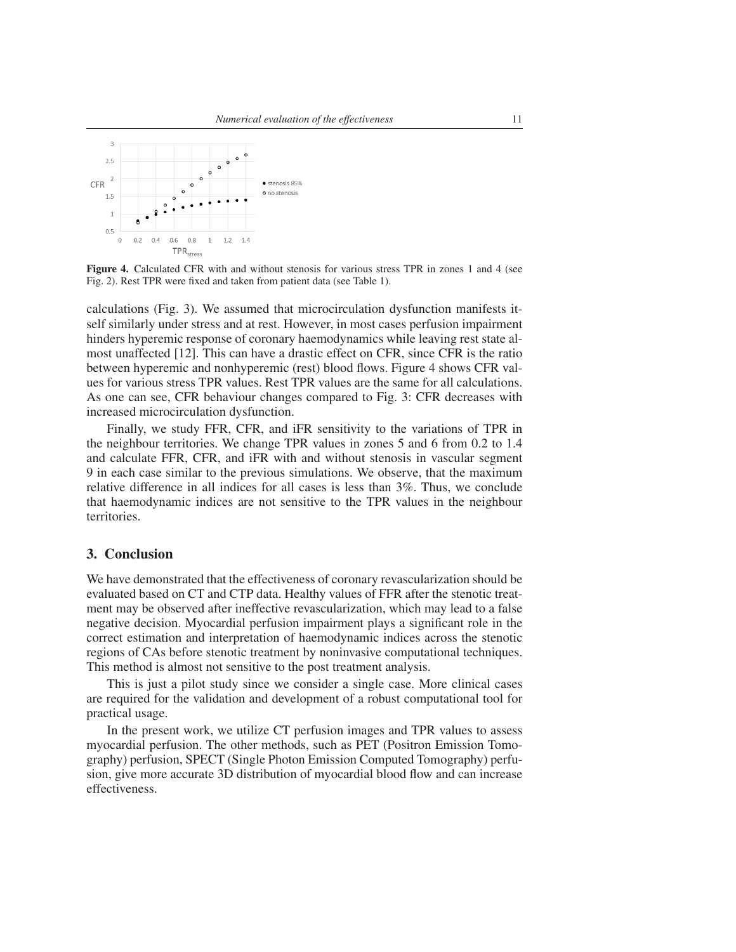

Figure 4. Calculated CFR with and without stenosis for various stress TPR in zones 1 and 4 (see Fig. 2). Rest TPR were fixed and taken from patient data (see Table 1).

calculations (Fig. 3). We assumed that microcirculation dysfunction manifests itself similarly under stress and at rest. However, in most cases perfusion impairment hinders hyperemic response of coronary haemodynamics while leaving rest state almost unaffected [12]. This can have a drastic effect on CFR, since CFR is the ratio between hyperemic and nonhyperemic (rest) blood flows. Figure 4 shows CFR values for various stress TPR values. Rest TPR values are the same for all calculations. As one can see, CFR behaviour changes compared to Fig. 3: CFR decreases with increased microcirculation dysfunction.

Finally, we study FFR, CFR, and iFR sensitivity to the variations of TPR in the neighbour territories. We change TPR values in zones 5 and 6 from 0.2 to 1.4 and calculate FFR, CFR, and iFR with and without stenosis in vascular segment 9 in each case similar to the previous simulations. We observe, that the maximum relative difference in all indices for all cases is less than 3%. Thus, we conclude that haemodynamic indices are not sensitive to the TPR values in the neighbour territories.

## 3. Conclusion

We have demonstrated that the effectiveness of coronary revascularization should be evaluated based on CT and CTP data. Healthy values of FFR after the stenotic treatment may be observed after ineffective revascularization, which may lead to a false negative decision. Myocardial perfusion impairment plays a significant role in the correct estimation and interpretation of haemodynamic indices across the stenotic regions of CAs before stenotic treatment by noninvasive computational techniques. This method is almost not sensitive to the post treatment analysis.

This is just a pilot study since we consider a single case. More clinical cases are required for the validation and development of a robust computational tool for practical usage.

In the present work, we utilize CT perfusion images and TPR values to assess myocardial perfusion. The other methods, such as PET (Positron Emission Tomography) perfusion, SPECT (Single Photon Emission Computed Tomography) perfusion, give more accurate 3D distribution of myocardial blood flow and can increase effectiveness.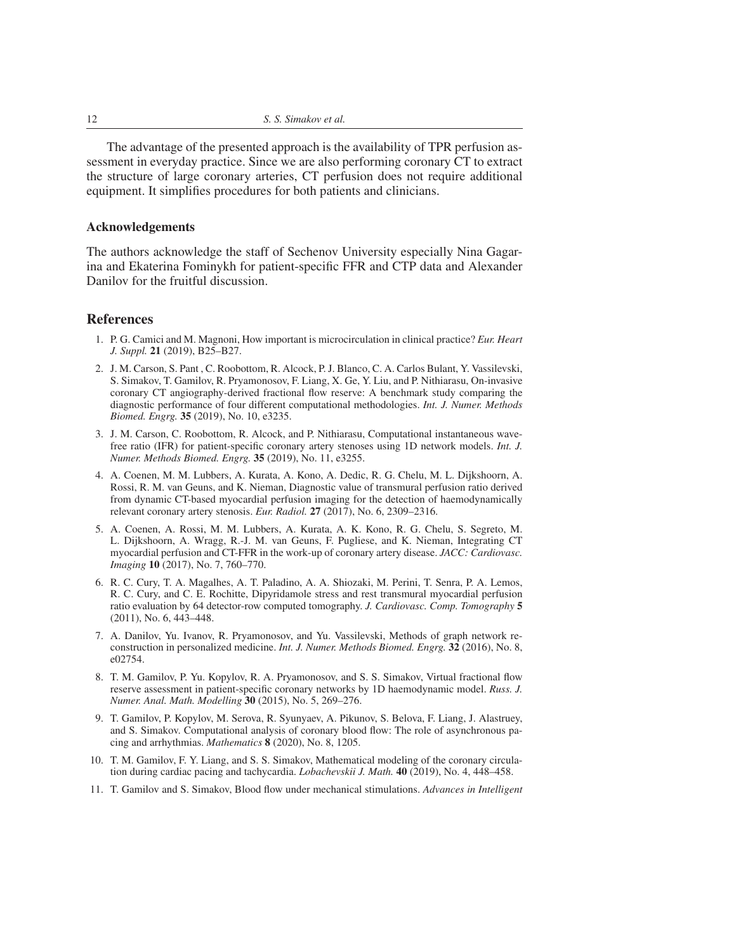The advantage of the presented approach is the availability of TPR perfusion assessment in everyday practice. Since we are also performing coronary CT to extract the structure of large coronary arteries, CT perfusion does not require additional equipment. It simplifies procedures for both patients and clinicians.

#### Acknowledgements

The authors acknowledge the staff of Sechenov University especially Nina Gagarina and Ekaterina Fominykh for patient-specific FFR and CTP data and Alexander Danilov for the fruitful discussion.

## References

- 1. P. G. Camici and M. Magnoni, How important is microcirculation in clinical practice? *Eur. Heart J. Suppl.* 21 (2019), B25–B27.
- 2. J. M. Carson, S. Pant , C. Roobottom, R. Alcock, P. J. Blanco, C. A. Carlos Bulant, Y. Vassilevski, S. Simakov, T. Gamilov, R. Pryamonosov, F. Liang, X. Ge, Y. Liu, and P. Nithiarasu, On-invasive coronary CT angiography-derived fractional flow reserve: A benchmark study comparing the diagnostic performance of four different computational methodologies. *Int. J. Numer. Methods Biomed. Engrg.* 35 (2019), No. 10, e3235.
- 3. J. M. Carson, C. Roobottom, R. Alcock, and P. Nithiarasu, Computational instantaneous wavefree ratio (IFR) for patient-specific coronary artery stenoses using 1D network models. *Int. J. Numer. Methods Biomed. Engrg.* 35 (2019), No. 11, e3255.
- 4. A. Coenen, M. M. Lubbers, A. Kurata, A. Kono, A. Dedic, R. G. Chelu, M. L. Dijkshoorn, A. Rossi, R. M. van Geuns, and K. Nieman, Diagnostic value of transmural perfusion ratio derived from dynamic CT-based myocardial perfusion imaging for the detection of haemodynamically relevant coronary artery stenosis. *Eur. Radiol.* 27 (2017), No. 6, 2309–2316.
- 5. A. Coenen, A. Rossi, M. M. Lubbers, A. Kurata, A. K. Kono, R. G. Chelu, S. Segreto, M. L. Dijkshoorn, A. Wragg, R.-J. M. van Geuns, F. Pugliese, and K. Nieman, Integrating CT myocardial perfusion and CT-FFR in the work-up of coronary artery disease. *JACC: Cardiovasc. Imaging* 10 (2017), No. 7, 760–770.
- 6. R. C. Cury, T. A. Magalhes, A. T. Paladino, A. A. Shiozaki, M. Perini, T. Senra, P. A. Lemos, R. C. Cury, and C. E. Rochitte, Dipyridamole stress and rest transmural myocardial perfusion ratio evaluation by 64 detector-row computed tomography. *J. Cardiovasc. Comp. Tomography* 5 (2011), No. 6, 443–448.
- 7. A. Danilov, Yu. Ivanov, R. Pryamonosov, and Yu. Vassilevski, Methods of graph network reconstruction in personalized medicine. *Int. J. Numer. Methods Biomed. Engrg.* 32 (2016), No. 8, e02754.
- 8. T. M. Gamilov, P. Yu. Kopylov, R. A. Pryamonosov, and S. S. Simakov, Virtual fractional flow reserve assessment in patient-specific coronary networks by 1D haemodynamic model. *Russ. J. Numer. Anal. Math. Modelling* 30 (2015), No. 5, 269–276.
- 9. T. Gamilov, P. Kopylov, M. Serova, R. Syunyaev, A. Pikunov, S. Belova, F. Liang, J. Alastruey, and S. Simakov. Computational analysis of coronary blood flow: The role of asynchronous pacing and arrhythmias. *Mathematics* 8 (2020), No. 8, 1205.
- 10. T. M. Gamilov, F. Y. Liang, and S. S. Simakov, Mathematical modeling of the coronary circulation during cardiac pacing and tachycardia. *Lobachevskii J. Math.* 40 (2019), No. 4, 448–458.
- 11. T. Gamilov and S. Simakov, Blood flow under mechanical stimulations. *Advances in Intelligent*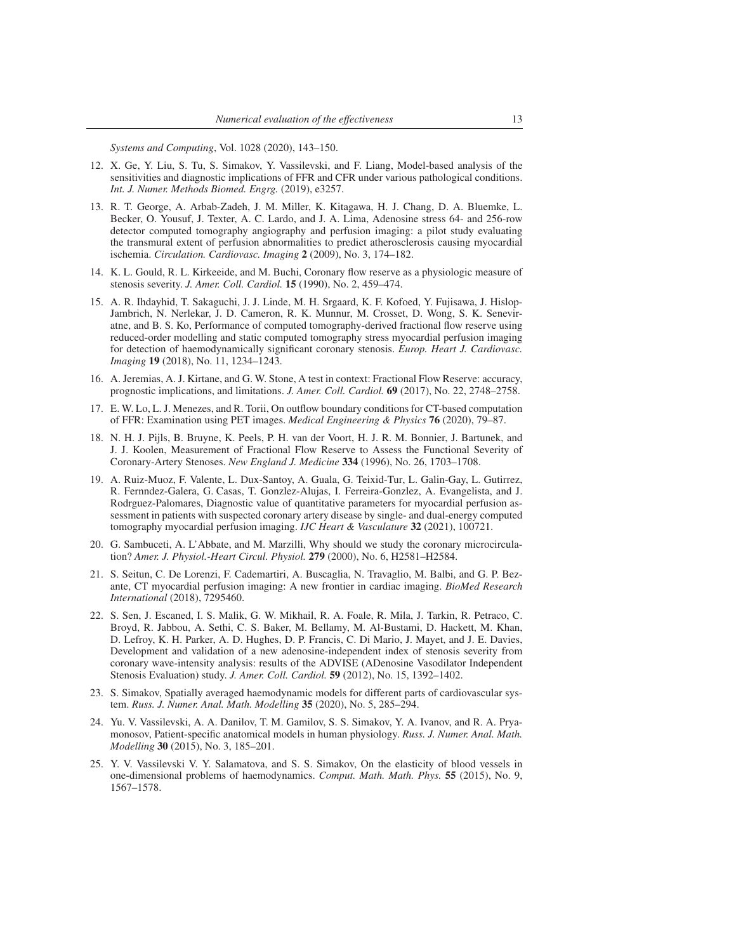*Systems and Computing*, Vol. 1028 (2020), 143–150.

- 12. X. Ge, Y. Liu, S. Tu, S. Simakov, Y. Vassilevski, and F. Liang, Model-based analysis of the sensitivities and diagnostic implications of FFR and CFR under various pathological conditions. *Int. J. Numer. Methods Biomed. Engrg.* (2019), e3257.
- 13. R. T. George, A. Arbab-Zadeh, J. M. Miller, K. Kitagawa, H. J. Chang, D. A. Bluemke, L. Becker, O. Yousuf, J. Texter, A. C. Lardo, and J. A. Lima, Adenosine stress 64- and 256-row detector computed tomography angiography and perfusion imaging: a pilot study evaluating the transmural extent of perfusion abnormalities to predict atherosclerosis causing myocardial ischemia. *Circulation. Cardiovasc. Imaging* 2 (2009), No. 3, 174–182.
- 14. K. L. Gould, R. L. Kirkeeide, and M. Buchi, Coronary flow reserve as a physiologic measure of stenosis severity. *J. Amer. Coll. Cardiol.* 15 (1990), No. 2, 459–474.
- 15. A. R. Ihdayhid, T. Sakaguchi, J. J. Linde, M. H. Srgaard, K. F. Kofoed, Y. Fujisawa, J. Hislop-Jambrich, N. Nerlekar, J. D. Cameron, R. K. Munnur, M. Crosset, D. Wong, S. K. Seneviratne, and B. S. Ko, Performance of computed tomography-derived fractional flow reserve using reduced-order modelling and static computed tomography stress myocardial perfusion imaging for detection of haemodynamically significant coronary stenosis. *Europ. Heart J. Cardiovasc. Imaging* 19 (2018), No. 11, 1234–1243.
- 16. A. Jeremias, A. J. Kirtane, and G. W. Stone, A test in context: Fractional Flow Reserve: accuracy, prognostic implications, and limitations. *J. Amer. Coll. Cardiol.* 69 (2017), No. 22, 2748–2758.
- 17. E. W. Lo, L. J. Menezes, and R. Torii, On outflow boundary conditions for CT-based computation of FFR: Examination using PET images. *Medical Engineering & Physics* 76 (2020), 79–87.
- 18. N. H. J. Pijls, B. Bruyne, K. Peels, P. H. van der Voort, H. J. R. M. Bonnier, J. Bartunek, and J. J. Koolen, Measurement of Fractional Flow Reserve to Assess the Functional Severity of Coronary-Artery Stenoses. *New England J. Medicine* 334 (1996), No. 26, 1703–1708.
- 19. A. Ruiz-Muoz, F. Valente, L. Dux-Santoy, A. Guala, G. Teixid-Tur, L. Galin-Gay, L. Gutirrez, R. Fernndez-Galera, G. Casas, T. Gonzlez-Alujas, I. Ferreira-Gonzlez, A. Evangelista, and J. Rodrguez-Palomares, Diagnostic value of quantitative parameters for myocardial perfusion assessment in patients with suspected coronary artery disease by single- and dual-energy computed tomography myocardial perfusion imaging. *IJC Heart & Vasculature* 32 (2021), 100721.
- 20. G. Sambuceti, A. L'Abbate, and M. Marzilli, Why should we study the coronary microcirculation? *Amer. J. Physiol.-Heart Circul. Physiol.* 279 (2000), No. 6, H2581–H2584.
- 21. S. Seitun, C. De Lorenzi, F. Cademartiri, A. Buscaglia, N. Travaglio, M. Balbi, and G. P. Bezante, CT myocardial perfusion imaging: A new frontier in cardiac imaging. *BioMed Research International* (2018), 7295460.
- 22. S. Sen, J. Escaned, I. S. Malik, G. W. Mikhail, R. A. Foale, R. Mila, J. Tarkin, R. Petraco, C. Broyd, R. Jabbou, A. Sethi, C. S. Baker, M. Bellamy, M. Al-Bustami, D. Hackett, M. Khan, D. Lefroy, K. H. Parker, A. D. Hughes, D. P. Francis, C. Di Mario, J. Mayet, and J. E. Davies, Development and validation of a new adenosine-independent index of stenosis severity from coronary wave-intensity analysis: results of the ADVISE (ADenosine Vasodilator Independent Stenosis Evaluation) study. *J. Amer. Coll. Cardiol.* 59 (2012), No. 15, 1392–1402.
- 23. S. Simakov, Spatially averaged haemodynamic models for different parts of cardiovascular system. *Russ. J. Numer. Anal. Math. Modelling* 35 (2020), No. 5, 285–294.
- 24. Yu. V. Vassilevski, A. A. Danilov, T. M. Gamilov, S. S. Simakov, Y. A. Ivanov, and R. A. Pryamonosov, Patient-specific anatomical models in human physiology. *Russ. J. Numer. Anal. Math. Modelling* 30 (2015), No. 3, 185–201.
- 25. Y. V. Vassilevski V. Y. Salamatova, and S. S. Simakov, On the elasticity of blood vessels in one-dimensional problems of haemodynamics. *Comput. Math. Math. Phys.* 55 (2015), No. 9, 1567–1578.